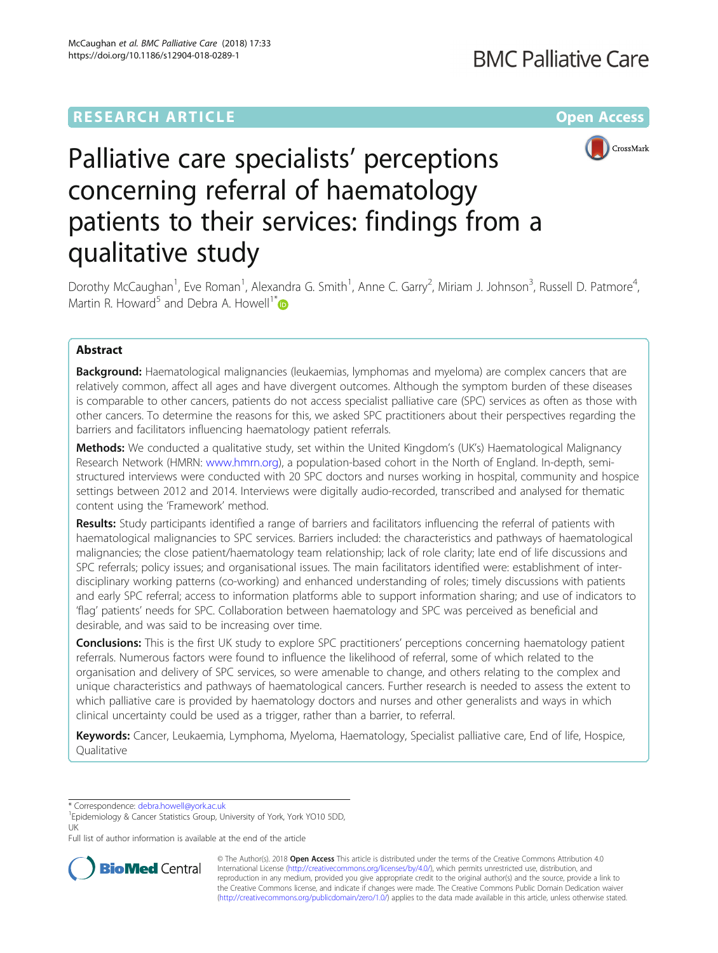# **RESEARCH ARTICLE Example 2014 12:30 The Community Community Community Community Community Community Community**



# Palliative care specialists' perceptions concerning referral of haematology patients to their services: findings from a qualitative study

Dorothy McCaughan<sup>1</sup>, Eve Roman<sup>1</sup>, Alexandra G. Smith<sup>1</sup>, Anne C. Garry<sup>2</sup>, Miriam J. Johnson<sup>3</sup>, Russell D. Patmore<sup>4</sup> , Martin R. Howard<sup>5</sup> and Debra A. Howell<sup>1[\\*](http://orcid.org/0000-0002-7521-7402)</sup>

# Abstract

**Background:** Haematological malignancies (leukaemias, lymphomas and myeloma) are complex cancers that are relatively common, affect all ages and have divergent outcomes. Although the symptom burden of these diseases is comparable to other cancers, patients do not access specialist palliative care (SPC) services as often as those with other cancers. To determine the reasons for this, we asked SPC practitioners about their perspectives regarding the barriers and facilitators influencing haematology patient referrals.

Methods: We conducted a qualitative study, set within the United Kingdom's (UK's) Haematological Malignancy Research Network (HMRN: [www.hmrn.org](http://www.hmrn.org)), a population-based cohort in the North of England. In-depth, semistructured interviews were conducted with 20 SPC doctors and nurses working in hospital, community and hospice settings between 2012 and 2014. Interviews were digitally audio-recorded, transcribed and analysed for thematic content using the 'Framework' method.

Results: Study participants identified a range of barriers and facilitators influencing the referral of patients with haematological malignancies to SPC services. Barriers included: the characteristics and pathways of haematological malignancies; the close patient/haematology team relationship; lack of role clarity; late end of life discussions and SPC referrals; policy issues; and organisational issues. The main facilitators identified were: establishment of interdisciplinary working patterns (co-working) and enhanced understanding of roles; timely discussions with patients and early SPC referral; access to information platforms able to support information sharing; and use of indicators to 'flag' patients' needs for SPC. Collaboration between haematology and SPC was perceived as beneficial and desirable, and was said to be increasing over time.

Conclusions: This is the first UK study to explore SPC practitioners' perceptions concerning haematology patient referrals. Numerous factors were found to influence the likelihood of referral, some of which related to the organisation and delivery of SPC services, so were amenable to change, and others relating to the complex and unique characteristics and pathways of haematological cancers. Further research is needed to assess the extent to which palliative care is provided by haematology doctors and nurses and other generalists and ways in which clinical uncertainty could be used as a trigger, rather than a barrier, to referral.

Keywords: Cancer, Leukaemia, Lymphoma, Myeloma, Haematology, Specialist palliative care, End of life, Hospice, **Oualitative** 

\* Correspondence: [debra.howell@york.ac.uk](mailto:debra.howell@york.ac.uk) <sup>1</sup>

Full list of author information is available at the end of the article



© The Author(s). 2018 Open Access This article is distributed under the terms of the Creative Commons Attribution 4.0 International License [\(http://creativecommons.org/licenses/by/4.0/](http://creativecommons.org/licenses/by/4.0/)), which permits unrestricted use, distribution, and reproduction in any medium, provided you give appropriate credit to the original author(s) and the source, provide a link to the Creative Commons license, and indicate if changes were made. The Creative Commons Public Domain Dedication waiver [\(http://creativecommons.org/publicdomain/zero/1.0/](http://creativecommons.org/publicdomain/zero/1.0/)) applies to the data made available in this article, unless otherwise stated.

<sup>&</sup>lt;sup>1</sup> Epidemiology & Cancer Statistics Group, University of York, York YO10 5DD, UK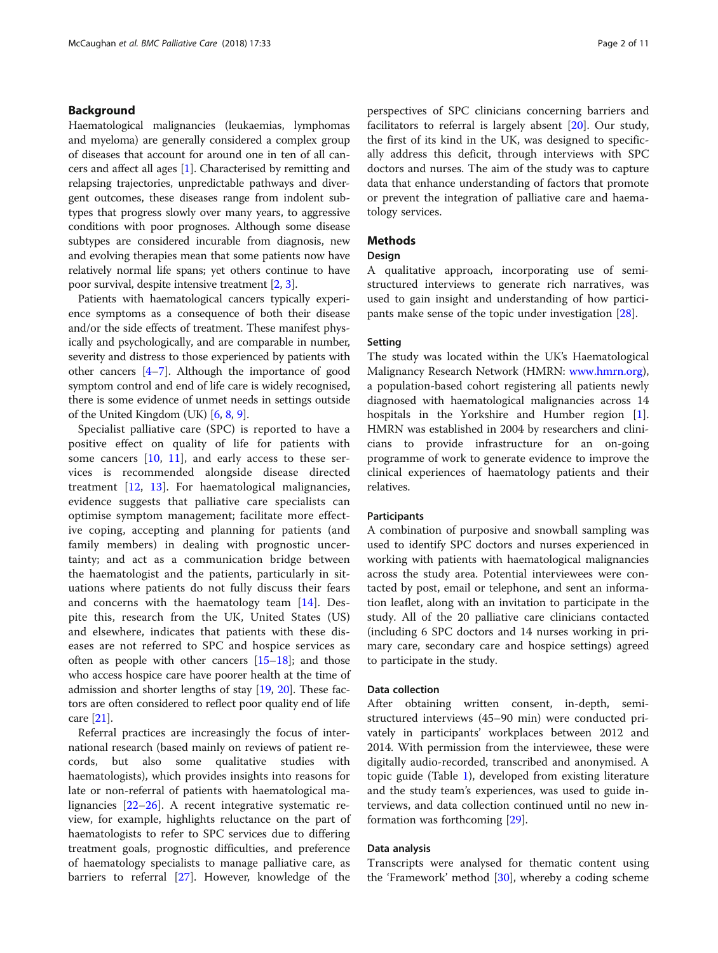# Background

Haematological malignancies (leukaemias, lymphomas and myeloma) are generally considered a complex group of diseases that account for around one in ten of all cancers and affect all ages [[1\]](#page-9-0). Characterised by remitting and relapsing trajectories, unpredictable pathways and divergent outcomes, these diseases range from indolent subtypes that progress slowly over many years, to aggressive conditions with poor prognoses. Although some disease subtypes are considered incurable from diagnosis, new and evolving therapies mean that some patients now have relatively normal life spans; yet others continue to have poor survival, despite intensive treatment [\[2](#page-9-0), [3\]](#page-9-0).

Patients with haematological cancers typically experience symptoms as a consequence of both their disease and/or the side effects of treatment. These manifest physically and psychologically, and are comparable in number, severity and distress to those experienced by patients with other cancers [\[4](#page-9-0)–[7](#page-10-0)]. Although the importance of good symptom control and end of life care is widely recognised, there is some evidence of unmet needs in settings outside of the United Kingdom (UK) [[6](#page-9-0), [8,](#page-10-0) [9](#page-10-0)].

Specialist palliative care (SPC) is reported to have a positive effect on quality of life for patients with some cancers [[10,](#page-10-0) [11\]](#page-10-0), and early access to these services is recommended alongside disease directed treatment [[12,](#page-10-0) [13\]](#page-10-0). For haematological malignancies, evidence suggests that palliative care specialists can optimise symptom management; facilitate more effective coping, accepting and planning for patients (and family members) in dealing with prognostic uncertainty; and act as a communication bridge between the haematologist and the patients, particularly in situations where patients do not fully discuss their fears and concerns with the haematology team [\[14](#page-10-0)]. Despite this, research from the UK, United States (US) and elsewhere, indicates that patients with these diseases are not referred to SPC and hospice services as often as people with other cancers [[15](#page-10-0)–[18](#page-10-0)]; and those who access hospice care have poorer health at the time of admission and shorter lengths of stay [\[19,](#page-10-0) [20\]](#page-10-0). These factors are often considered to reflect poor quality end of life care [[21\]](#page-10-0).

Referral practices are increasingly the focus of international research (based mainly on reviews of patient records, but also some qualitative studies with haematologists), which provides insights into reasons for late or non-referral of patients with haematological malignancies [\[22](#page-10-0)–[26\]](#page-10-0). A recent integrative systematic review, for example, highlights reluctance on the part of haematologists to refer to SPC services due to differing treatment goals, prognostic difficulties, and preference of haematology specialists to manage palliative care, as barriers to referral [[27\]](#page-10-0). However, knowledge of the perspectives of SPC clinicians concerning barriers and facilitators to referral is largely absent [[20\]](#page-10-0). Our study, the first of its kind in the UK, was designed to specifically address this deficit, through interviews with SPC doctors and nurses. The aim of the study was to capture data that enhance understanding of factors that promote or prevent the integration of palliative care and haematology services.

# **Methods**

# Design

A qualitative approach, incorporating use of semistructured interviews to generate rich narratives, was used to gain insight and understanding of how participants make sense of the topic under investigation [\[28](#page-10-0)].

# Setting

The study was located within the UK's Haematological Malignancy Research Network (HMRN: [www.hmrn.org](http://www.hmrn.org)), a population-based cohort registering all patients newly diagnosed with haematological malignancies across 14 hospitals in the Yorkshire and Humber region [\[1](#page-9-0)]. HMRN was established in 2004 by researchers and clinicians to provide infrastructure for an on-going programme of work to generate evidence to improve the clinical experiences of haematology patients and their relatives.

#### **Participants**

A combination of purposive and snowball sampling was used to identify SPC doctors and nurses experienced in working with patients with haematological malignancies across the study area. Potential interviewees were contacted by post, email or telephone, and sent an information leaflet, along with an invitation to participate in the study. All of the 20 palliative care clinicians contacted (including 6 SPC doctors and 14 nurses working in primary care, secondary care and hospice settings) agreed to participate in the study.

# Data collection

After obtaining written consent, in-depth, semistructured interviews (45–90 min) were conducted privately in participants' workplaces between 2012 and 2014. With permission from the interviewee, these were digitally audio-recorded, transcribed and anonymised. A topic guide (Table [1\)](#page-2-0), developed from existing literature and the study team's experiences, was used to guide interviews, and data collection continued until no new information was forthcoming [[29\]](#page-10-0).

#### Data analysis

Transcripts were analysed for thematic content using the 'Framework' method [[30\]](#page-10-0), whereby a coding scheme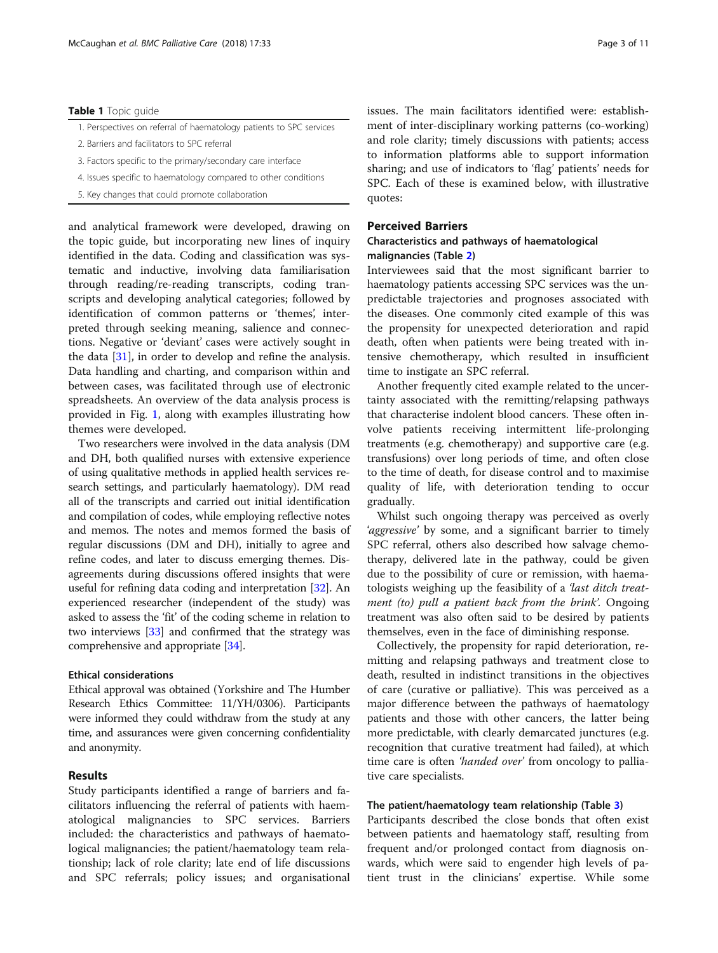#### <span id="page-2-0"></span>Table 1 Topic quide

1. Perspectives on referral of haematology patients to SPC services

- 2. Barriers and facilitators to SPC referral
- 3. Factors specific to the primary/secondary care interface
- 4. Issues specific to haematology compared to other conditions
- 5. Key changes that could promote collaboration

and analytical framework were developed, drawing on the topic guide, but incorporating new lines of inquiry identified in the data. Coding and classification was systematic and inductive, involving data familiarisation through reading/re-reading transcripts, coding transcripts and developing analytical categories; followed by identification of common patterns or 'themes', interpreted through seeking meaning, salience and connections. Negative or 'deviant' cases were actively sought in the data [\[31\]](#page-10-0), in order to develop and refine the analysis. Data handling and charting, and comparison within and between cases, was facilitated through use of electronic spreadsheets. An overview of the data analysis process is provided in Fig. [1](#page-3-0), along with examples illustrating how themes were developed.

Two researchers were involved in the data analysis (DM and DH, both qualified nurses with extensive experience of using qualitative methods in applied health services research settings, and particularly haematology). DM read all of the transcripts and carried out initial identification and compilation of codes, while employing reflective notes and memos. The notes and memos formed the basis of regular discussions (DM and DH), initially to agree and refine codes, and later to discuss emerging themes. Disagreements during discussions offered insights that were useful for refining data coding and interpretation [\[32](#page-10-0)]. An experienced researcher (independent of the study) was asked to assess the 'fit' of the coding scheme in relation to two interviews [\[33](#page-10-0)] and confirmed that the strategy was comprehensive and appropriate [[34](#page-10-0)].

## Ethical considerations

Ethical approval was obtained (Yorkshire and The Humber Research Ethics Committee: 11/YH/0306). Participants were informed they could withdraw from the study at any time, and assurances were given concerning confidentiality and anonymity.

# Results

Study participants identified a range of barriers and facilitators influencing the referral of patients with haematological malignancies to SPC services. Barriers included: the characteristics and pathways of haematological malignancies; the patient/haematology team relationship; lack of role clarity; late end of life discussions and SPC referrals; policy issues; and organisational

issues. The main facilitators identified were: establishment of inter-disciplinary working patterns (co-working) and role clarity; timely discussions with patients; access to information platforms able to support information sharing; and use of indicators to 'flag' patients' needs for SPC. Each of these is examined below, with illustrative quotes:

# Perceived Barriers

# Characteristics and pathways of haematological malignancies (Table [2\)](#page-3-0)

Interviewees said that the most significant barrier to haematology patients accessing SPC services was the unpredictable trajectories and prognoses associated with the diseases. One commonly cited example of this was the propensity for unexpected deterioration and rapid death, often when patients were being treated with intensive chemotherapy, which resulted in insufficient time to instigate an SPC referral.

Another frequently cited example related to the uncertainty associated with the remitting/relapsing pathways that characterise indolent blood cancers. These often involve patients receiving intermittent life-prolonging treatments (e.g. chemotherapy) and supportive care (e.g. transfusions) over long periods of time, and often close to the time of death, for disease control and to maximise quality of life, with deterioration tending to occur gradually.

Whilst such ongoing therapy was perceived as overly 'aggressive' by some, and a significant barrier to timely SPC referral, others also described how salvage chemotherapy, delivered late in the pathway, could be given due to the possibility of cure or remission, with haematologists weighing up the feasibility of a 'last ditch treatment (to) pull a patient back from the brink'. Ongoing treatment was also often said to be desired by patients themselves, even in the face of diminishing response.

Collectively, the propensity for rapid deterioration, remitting and relapsing pathways and treatment close to death, resulted in indistinct transitions in the objectives of care (curative or palliative). This was perceived as a major difference between the pathways of haematology patients and those with other cancers, the latter being more predictable, with clearly demarcated junctures (e.g. recognition that curative treatment had failed), at which time care is often 'handed over' from oncology to palliative care specialists.

## The patient/haematology team relationship (Table [3](#page-4-0))

Participants described the close bonds that often exist between patients and haematology staff, resulting from frequent and/or prolonged contact from diagnosis onwards, which were said to engender high levels of patient trust in the clinicians' expertise. While some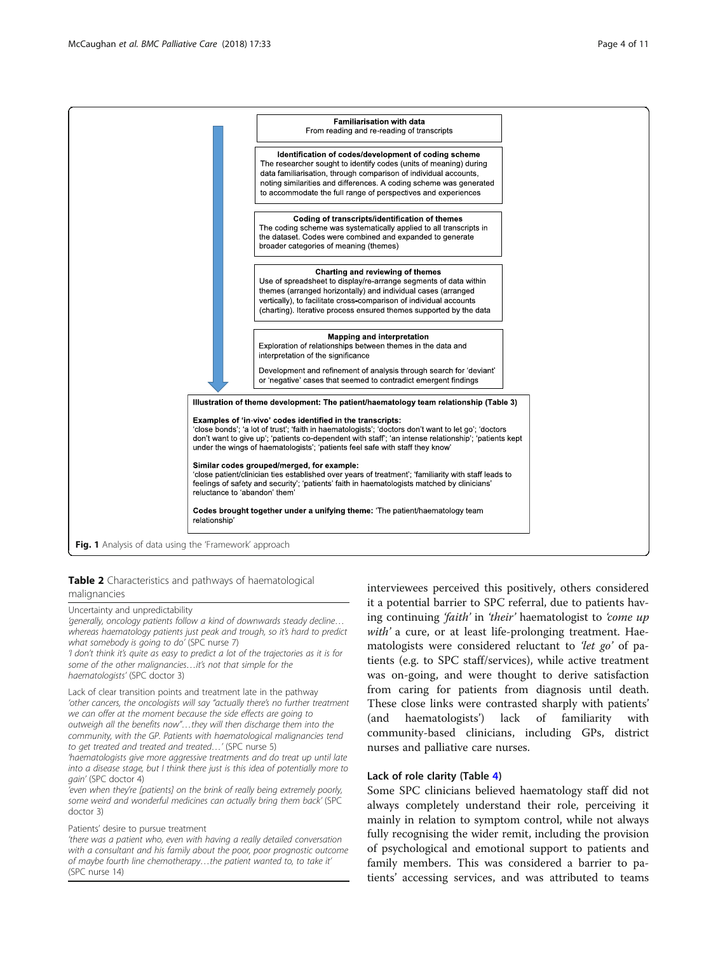<span id="page-3-0"></span>

# Table 2 Characteristics and pathways of haematological malignancies

#### Uncertainty and unpredictability

'generally, oncology patients follow a kind of downwards steady decline… whereas haematology patients just peak and trough, so it's hard to predict what somebody is going to do' (SPC nurse 7)

'I don't think it's quite as easy to predict a lot of the trajectories as it is for some of the other malignancies…it's not that simple for the haematologists' (SPC doctor 3)

Lack of clear transition points and treatment late in the pathway 'other cancers, the oncologists will say "actually there's no further treatment we can offer at the moment because the side effects are going to outweigh all the benefits now"…they will then discharge them into the community, with the GP. Patients with haematological malignancies tend to get treated and treated and treated…' (SPC nurse 5)

'haematologists give more aggressive treatments and do treat up until late into a disease stage, but I think there just is this idea of potentially more to gain' (SPC doctor 4)

'even when they're [patients] on the brink of really being extremely poorly, some weird and wonderful medicines can actually bring them back' (SPC doctor 3)

#### Patients' desire to pursue treatment

'there was a patient who, even with having a really detailed conversation with a consultant and his family about the poor, poor prognostic outcome of maybe fourth line chemotherapy…the patient wanted to, to take it' (SPC nurse 14)

interviewees perceived this positively, others considered it a potential barrier to SPC referral, due to patients having continuing 'faith' in 'their' haematologist to 'come up with' a cure, or at least life-prolonging treatment. Haematologists were considered reluctant to 'let go' of patients (e.g. to SPC staff/services), while active treatment was on-going, and were thought to derive satisfaction from caring for patients from diagnosis until death. These close links were contrasted sharply with patients' (and haematologists') lack of familiarity with community-based clinicians, including GPs, district nurses and palliative care nurses.

## Lack of role clarity (Table [4\)](#page-4-0)

Some SPC clinicians believed haematology staff did not always completely understand their role, perceiving it mainly in relation to symptom control, while not always fully recognising the wider remit, including the provision of psychological and emotional support to patients and family members. This was considered a barrier to patients' accessing services, and was attributed to teams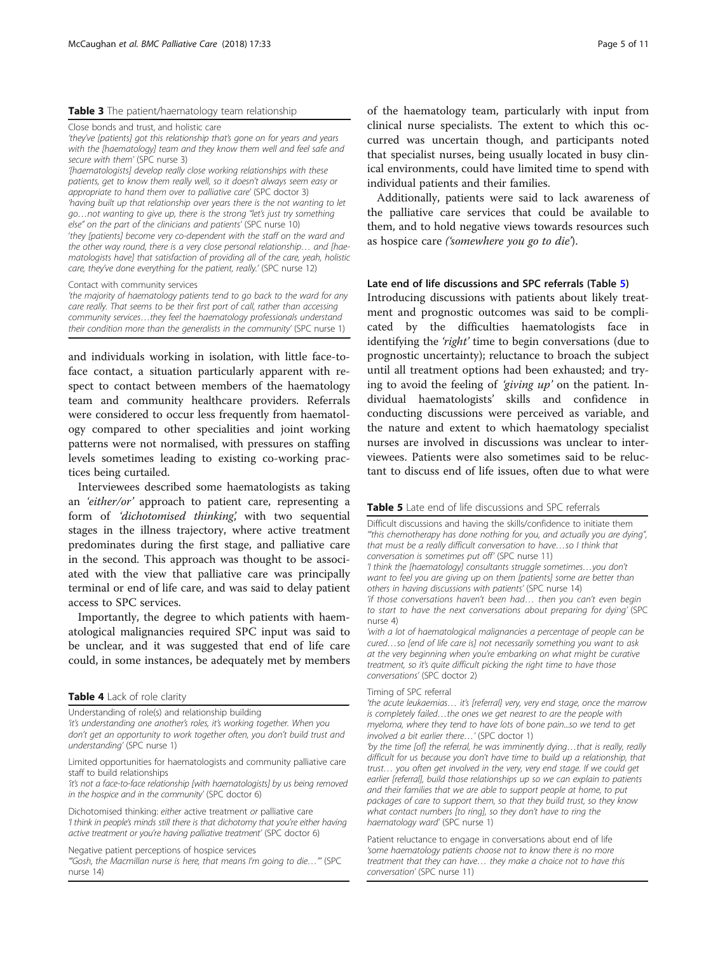#### <span id="page-4-0"></span>Table 3 The patient/haematology team relationship

Close bonds and trust, and holistic care

'they've [patients] got this relationship that's gone on for years and years with the [haematology] team and they know them well and feel safe and secure with them' (SPC nurse 3)

'[haematologists] develop really close working relationships with these patients, get to know them really well, so it doesn't always seem easy or appropriate to hand them over to palliative care' (SPC doctor 3) 'having built up that relationship over years there is the not wanting to let go…not wanting to give up, there is the strong "let's just try something else" on the part of the clinicians and patients' (SPC nurse 10) 'they [patients] become very co-dependent with the staff on the ward and the other way round, there is a very close personal relationship… and [haematologists have] that satisfaction of providing all of the care, yeah, holistic care, they've done everything for the patient, really.' (SPC nurse 12)

Contact with community services

'the majority of haematology patients tend to go back to the ward for any care really. That seems to be their first port of call, rather than accessing community services…they feel the haematology professionals understand their condition more than the generalists in the community' (SPC nurse 1)

and individuals working in isolation, with little face-toface contact, a situation particularly apparent with respect to contact between members of the haematology team and community healthcare providers. Referrals were considered to occur less frequently from haematology compared to other specialities and joint working patterns were not normalised, with pressures on staffing levels sometimes leading to existing co-working practices being curtailed.

Interviewees described some haematologists as taking an 'either/or' approach to patient care, representing a form of 'dichotomised thinking', with two sequential stages in the illness trajectory, where active treatment predominates during the first stage, and palliative care in the second. This approach was thought to be associated with the view that palliative care was principally terminal or end of life care, and was said to delay patient access to SPC services.

Importantly, the degree to which patients with haematological malignancies required SPC input was said to be unclear, and it was suggested that end of life care could, in some instances, be adequately met by members

Table 4 Lack of role clarity

Understanding of role(s) and relationship building

'it's understanding one another's roles, it's working together. When you don't get an opportunity to work together often, you don't build trust and understanding' (SPC nurse 1)

Limited opportunities for haematologists and community palliative care staff to build relationships

'it's not a face-to-face relationship [with haematologists] by us being removed in the hospice and in the community' (SPC doctor 6)

Dichotomised thinking: either active treatment or palliative care 'I think in people's minds still there is that dichotomy that you're either having active treatment or you're having palliative treatment' (SPC doctor 6)

Negative patient perceptions of hospice services

'"Gosh, the Macmillan nurse is here, that means I'm going to die…"' (SPC nurse 14)

of the haematology team, particularly with input from clinical nurse specialists. The extent to which this occurred was uncertain though, and participants noted that specialist nurses, being usually located in busy clinical environments, could have limited time to spend with individual patients and their families.

Additionally, patients were said to lack awareness of the palliative care services that could be available to them, and to hold negative views towards resources such as hospice care ('somewhere you go to die').

# Late end of life discussions and SPC referrals (Table 5)

Introducing discussions with patients about likely treatment and prognostic outcomes was said to be complicated by the difficulties haematologists face in identifying the 'right' time to begin conversations (due to prognostic uncertainty); reluctance to broach the subject until all treatment options had been exhausted; and trying to avoid the feeling of 'giving up' on the patient. Individual haematologists' skills and confidence in conducting discussions were perceived as variable, and the nature and extent to which haematology specialist nurses are involved in discussions was unclear to interviewees. Patients were also sometimes said to be reluctant to discuss end of life issues, often due to what were

#### Table 5 Late end of life discussions and SPC referrals

Difficult discussions and having the skills/confidence to initiate them '"this chemotherapy has done nothing for you, and actually you are dying", that must be a really difficult conversation to have…so I think that conversation is sometimes put off' (SPC nurse 11)

'I think the [haematology] consultants struggle sometimes…you don't want to feel you are giving up on them [patients] some are better than others in having discussions with patients' (SPC nurse 14)

'if those conversations haven't been had… then you can't even begin to start to have the next conversations about preparing for dying' (SPC nurse 4)

'with a lot of haematological malignancies a percentage of people can be cured…so [end of life care is] not necessarily something you want to ask at the very beginning when you're embarking on what might be curative treatment, so it's quite difficult picking the right time to have those conversations' (SPC doctor 2)

#### Timing of SPC referral

'the acute leukaemias… it's [referral] very, very end stage, once the marrow is completely failed...the ones we get nearest to are the people with myeloma, where they tend to have lots of bone pain...so we tend to get involved a bit earlier there…' (SPC doctor 1)

'by the time [of] the referral, he was imminently dying…that is really, really difficult for us because you don't have time to build up a relationship, that trust… you often get involved in the very, very end stage. If we could get earlier [referral], build those relationships up so we can explain to patients and their families that we are able to support people at home, to put packages of care to support them, so that they build trust, so they know what contact numbers [to ring], so they don't have to ring the haematology ward' (SPC nurse 1)

Patient reluctance to engage in conversations about end of life 'some haematology patients choose not to know there is no more treatment that they can have… they make a choice not to have this conversation' (SPC nurse 11)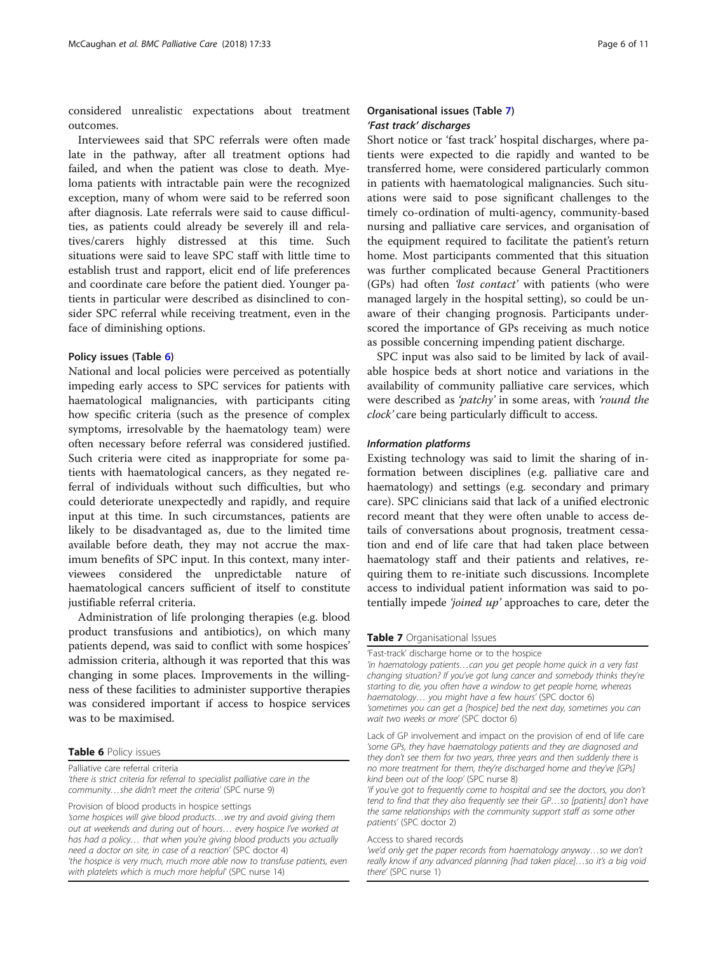considered unrealistic expectations about treatment outcomes.

Interviewees said that SPC referrals were often made late in the pathway, after all treatment options had failed, and when the patient was close to death. Myeloma patients with intractable pain were the recognized exception, many of whom were said to be referred soon after diagnosis. Late referrals were said to cause difficulties, as patients could already be severely ill and relatives/carers highly distressed at this time. Such situations were said to leave SPC staff with little time to establish trust and rapport, elicit end of life preferences and coordinate care before the patient died. Younger patients in particular were described as disinclined to consider SPC referral while receiving treatment, even in the face of diminishing options.

#### Policy issues (Table 6)

National and local policies were perceived as potentially impeding early access to SPC services for patients with haematological malignancies, with participants citing how specific criteria (such as the presence of complex symptoms, irresolvable by the haematology team) were often necessary before referral was considered justified. Such criteria were cited as inappropriate for some patients with haematological cancers, as they negated referral of individuals without such difficulties, but who could deteriorate unexpectedly and rapidly, and require input at this time. In such circumstances, patients are likely to be disadvantaged as, due to the limited time available before death, they may not accrue the maximum benefits of SPC input. In this context, many interviewees considered the unpredictable nature of haematological cancers sufficient of itself to constitute justifiable referral criteria.

Administration of life prolonging therapies (e.g. blood product transfusions and antibiotics), on which many patients depend, was said to conflict with some hospices' admission criteria, although it was reported that this was changing in some places. Improvements in the willingness of these facilities to administer supportive therapies was considered important if access to hospice services was to be maximised.

#### Table 6 Policy issues

Palliative care referral criteria 'there is strict criteria for referral to specialist palliative care in the community…she didn't meet the criteria' (SPC nurse 9)

Provision of blood products in hospice settings

'some hospices will give blood products…we try and avoid giving them out at weekends and during out of hours… every hospice I've worked at has had a policy… that when you're giving blood products you actually need a doctor on site, in case of a reaction' (SPC doctor 4) 'the hospice is very much, much more able now to transfuse patients, even with platelets which is much more helpful' (SPC nurse 14)

# Organisational issues (Table 7) 'Fast track' discharges

Short notice or 'fast track' hospital discharges, where patients were expected to die rapidly and wanted to be transferred home, were considered particularly common in patients with haematological malignancies. Such situations were said to pose significant challenges to the timely co-ordination of multi-agency, community-based nursing and palliative care services, and organisation of the equipment required to facilitate the patient's return home. Most participants commented that this situation was further complicated because General Practitioners (GPs) had often 'lost contact' with patients (who were managed largely in the hospital setting), so could be unaware of their changing prognosis. Participants underscored the importance of GPs receiving as much notice as possible concerning impending patient discharge.

SPC input was also said to be limited by lack of available hospice beds at short notice and variations in the availability of community palliative care services, which were described as 'patchy' in some areas, with 'round the clock' care being particularly difficult to access.

#### Information platforms

Existing technology was said to limit the sharing of information between disciplines (e.g. palliative care and haematology) and settings (e.g. secondary and primary care). SPC clinicians said that lack of a unified electronic record meant that they were often unable to access details of conversations about prognosis, treatment cessation and end of life care that had taken place between haematology staff and their patients and relatives, requiring them to re-initiate such discussions. Incomplete access to individual patient information was said to potentially impede 'joined up' approaches to care, deter the

## Table 7 Organisational Issues

'Fast-track' discharge home or to the hospice

'in haematology patients…can you get people home quick in a very fast changing situation? If you've got lung cancer and somebody thinks they're starting to die, you often have a window to get people home, whereas haematology… you might have a few hours' (SPC doctor 6) 'sometimes you can get a [hospice] bed the next day, sometimes you can wait two weeks or more' (SPC doctor 6)

Lack of GP involvement and impact on the provision of end of life care 'some GPs, they have haematology patients and they are diagnosed and they don't see them for two years, three years and then suddenly there is no more treatment for them, they're discharged home and they've [GPs] kind been out of the loop' (SPC nurse 8)

'if you've got to frequently come to hospital and see the doctors, you don't tend to find that they also frequently see their GP…so [patients] don't have the same relationships with the community support staff as some other patients' (SPC doctor 2)

#### Access to shared records

'we'd only get the paper records from haematology anyway…so we don't really know if any advanced planning [had taken place]…so it's a big void there' (SPC nurse 1)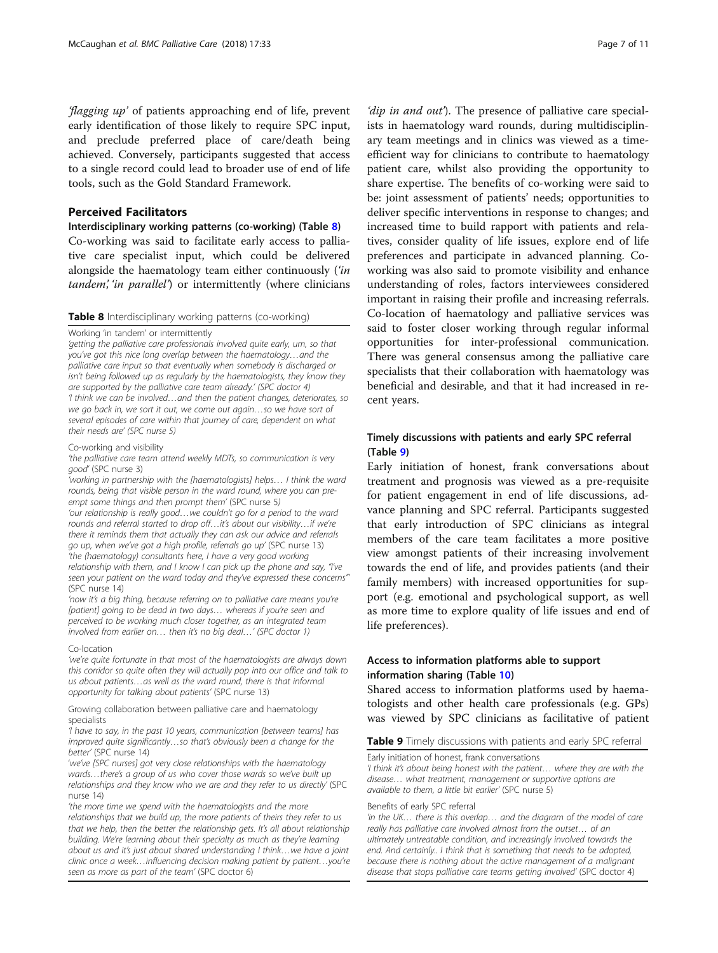'flagging up' of patients approaching end of life, prevent early identification of those likely to require SPC input, and preclude preferred place of care/death being achieved. Conversely, participants suggested that access to a single record could lead to broader use of end of life tools, such as the Gold Standard Framework.

# Perceived Facilitators

#### Interdisciplinary working patterns (co-working) (Table 8)

Co-working was said to facilitate early access to palliative care specialist input, which could be delivered alongside the haematology team either continuously ('in tandem', 'in parallel') or intermittently (where clinicians

Table 8 Interdisciplinary working patterns (co-working)

Working 'in tandem' or intermittently

'getting the palliative care professionals involved quite early, um, so that you've got this nice long overlap between the haematology…and the palliative care input so that eventually when somebody is discharged or isn't being followed up as regularly by the haematologists, they know they are supported by the palliative care team already.' (SPC doctor 4) 'I think we can be involved…and then the patient changes, deteriorates, so we go back in, we sort it out, we come out again…so we have sort of several episodes of care within that journey of care, dependent on what their needs are' (SPC nurse 5)

#### Co-working and visibility

'the palliative care team attend weekly MDTs, so communication is very good' (SPC nurse 3)

'working in partnership with the [haematologists] helps… I think the ward rounds, being that visible person in the ward round, where you can preempt some things and then prompt them' (SPC nurse 5) 'our relationship is really good…we couldn't go for a period to the ward rounds and referral started to drop off…it's about our visibility…if we're there it reminds them that actually they can ask our advice and referrals go up, when we've got a high profile, referrals go up' (SPC nurse 13) 'the (haematology) consultants here, I have a very good working relationship with them, and I know I can pick up the phone and say, "I've seen your patient on the ward today and they've expressed these concerns"' (SPC nurse 14)

'now it's a big thing, because referring on to palliative care means you're [patient] going to be dead in two days... whereas if you're seen and perceived to be working much closer together, as an integrated team involved from earlier on… then it's no big deal…' (SPC doctor 1)

#### Co-location

'we're quite fortunate in that most of the haematologists are always down this corridor so quite often they will actually pop into our office and talk to us about patients…as well as the ward round, there is that informal opportunity for talking about patients' (SPC nurse 13)

Growing collaboration between palliative care and haematology specialists

'I have to say, in the past 10 years, communication [between teams] has improved quite significantly…so that's obviously been a change for the better' (SPC nurse 14)

'we've [SPC nurses] got very close relationships with the haematology wards…there's a group of us who cover those wards so we've built up relationships and they know who we are and they refer to us directly' (SPC nurse 14)

'the more time we spend with the haematologists and the more relationships that we build up, the more patients of theirs they refer to us that we help, then the better the relationship gets. It's all about relationship building. We're learning about their specialty as much as they're learning about us and it's just about shared understanding I think…we have a joint clinic once a week...influencing decision making patient by patient...you're seen as more as part of the team' (SPC doctor 6)

'dip in and out'). The presence of palliative care specialists in haematology ward rounds, during multidisciplinary team meetings and in clinics was viewed as a timeefficient way for clinicians to contribute to haematology patient care, whilst also providing the opportunity to share expertise. The benefits of co-working were said to be: joint assessment of patients' needs; opportunities to deliver specific interventions in response to changes; and increased time to build rapport with patients and relatives, consider quality of life issues, explore end of life preferences and participate in advanced planning. Coworking was also said to promote visibility and enhance understanding of roles, factors interviewees considered important in raising their profile and increasing referrals. Co-location of haematology and palliative services was said to foster closer working through regular informal opportunities for inter-professional communication. There was general consensus among the palliative care specialists that their collaboration with haematology was beneficial and desirable, and that it had increased in recent years.

# Timely discussions with patients and early SPC referral (Table 9)

Early initiation of honest, frank conversations about treatment and prognosis was viewed as a pre-requisite for patient engagement in end of life discussions, advance planning and SPC referral. Participants suggested that early introduction of SPC clinicians as integral members of the care team facilitates a more positive view amongst patients of their increasing involvement towards the end of life, and provides patients (and their family members) with increased opportunities for support (e.g. emotional and psychological support, as well as more time to explore quality of life issues and end of life preferences).

# Access to information platforms able to support information sharing (Table [10\)](#page-7-0)

Shared access to information platforms used by haematologists and other health care professionals (e.g. GPs) was viewed by SPC clinicians as facilitative of patient

Table 9 Timely discussions with patients and early SPC referral

Early initiation of honest, frank conversations

'I think it's about being honest with the patient… where they are with the disease… what treatment, management or supportive options are available to them, a little bit earlier' (SPC nurse 5)

#### Benefits of early SPC referral

'in the UK… there is this overlap… and the diagram of the model of care really has palliative care involved almost from the outset… of an ultimately untreatable condition, and increasingly involved towards the end. And certainly.. I think that is something that needs to be adopted, because there is nothing about the active management of a malignant disease that stops palliative care teams getting involved' (SPC doctor 4)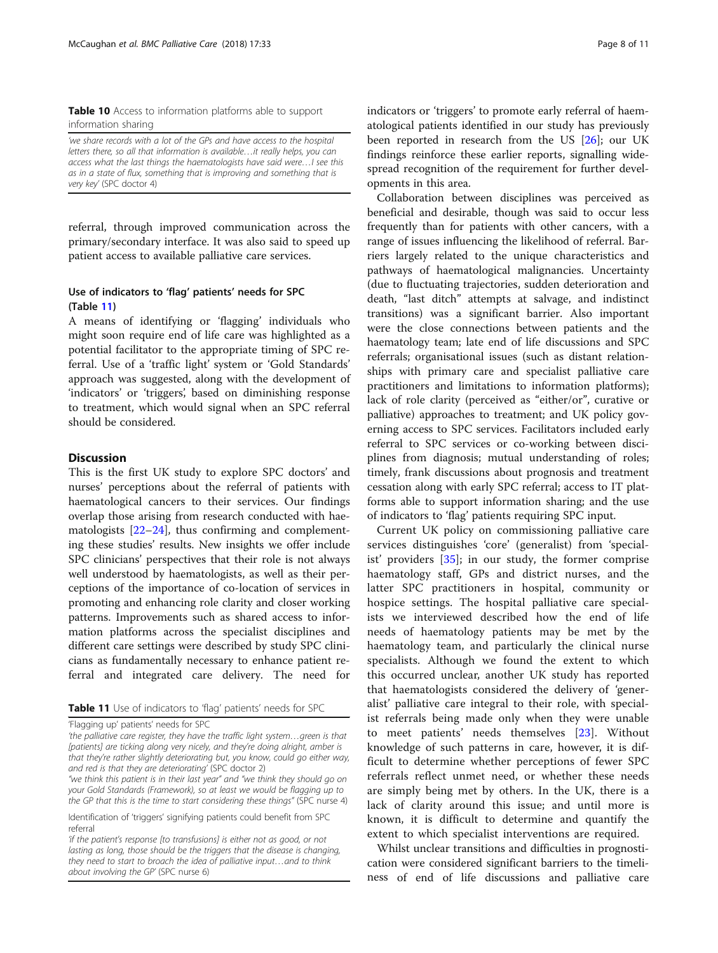<span id="page-7-0"></span>Table 10 Access to information platforms able to support information sharing

'we share records with a lot of the GPs and have access to the hospital letters there, so all that information is available…it really helps, you can access what the last things the haematologists have said were…I see this as in a state of flux, something that is improving and something that is very key' (SPC doctor 4)

referral, through improved communication across the primary/secondary interface. It was also said to speed up patient access to available palliative care services.

# Use of indicators to 'flag' patients' needs for SPC (Table 11)

A means of identifying or 'flagging' individuals who might soon require end of life care was highlighted as a potential facilitator to the appropriate timing of SPC referral. Use of a 'traffic light' system or 'Gold Standards' approach was suggested, along with the development of 'indicators' or 'triggers', based on diminishing response to treatment, which would signal when an SPC referral should be considered.

## **Discussion**

This is the first UK study to explore SPC doctors' and nurses' perceptions about the referral of patients with haematological cancers to their services. Our findings overlap those arising from research conducted with haematologists [[22](#page-10-0)–[24](#page-10-0)], thus confirming and complementing these studies' results. New insights we offer include SPC clinicians' perspectives that their role is not always well understood by haematologists, as well as their perceptions of the importance of co-location of services in promoting and enhancing role clarity and closer working patterns. Improvements such as shared access to information platforms across the specialist disciplines and different care settings were described by study SPC clinicians as fundamentally necessary to enhance patient referral and integrated care delivery. The need for

Table 11 Use of indicators to 'flag' patients' needs for SPC

'Flagging up' patients' needs for SPC

'the palliative care register, they have the traffic light system…green is that [patients] are ticking along very nicely, and they're doing alright, amber is that they're rather slightly deteriorating but, you know, could go either way, and red is that they are deteriorating' (SPC doctor 2)

"we think this patient is in their last year" and "we think they should go on your Gold Standards (Framework), so at least we would be flagging up to the GP that this is the time to start considering these things" (SPC nurse 4)

Identification of 'triggers' signifying patients could benefit from SPC referral

'if the patient's response [to transfusions] is either not as good, or not lasting as long, those should be the triggers that the disease is changing, they need to start to broach the idea of palliative input…and to think about involving the GP' (SPC nurse 6)

indicators or 'triggers' to promote early referral of haematological patients identified in our study has previously been reported in research from the US [\[26](#page-10-0)]; our UK findings reinforce these earlier reports, signalling widespread recognition of the requirement for further developments in this area.

Collaboration between disciplines was perceived as beneficial and desirable, though was said to occur less frequently than for patients with other cancers, with a range of issues influencing the likelihood of referral. Barriers largely related to the unique characteristics and pathways of haematological malignancies. Uncertainty (due to fluctuating trajectories, sudden deterioration and death, "last ditch" attempts at salvage, and indistinct transitions) was a significant barrier. Also important were the close connections between patients and the haematology team; late end of life discussions and SPC referrals; organisational issues (such as distant relationships with primary care and specialist palliative care practitioners and limitations to information platforms); lack of role clarity (perceived as "either/or", curative or palliative) approaches to treatment; and UK policy governing access to SPC services. Facilitators included early referral to SPC services or co-working between disciplines from diagnosis; mutual understanding of roles; timely, frank discussions about prognosis and treatment cessation along with early SPC referral; access to IT platforms able to support information sharing; and the use of indicators to 'flag' patients requiring SPC input.

Current UK policy on commissioning palliative care services distinguishes 'core' (generalist) from 'specialist' providers [\[35](#page-10-0)]; in our study, the former comprise haematology staff, GPs and district nurses, and the latter SPC practitioners in hospital, community or hospice settings. The hospital palliative care specialists we interviewed described how the end of life needs of haematology patients may be met by the haematology team, and particularly the clinical nurse specialists. Although we found the extent to which this occurred unclear, another UK study has reported that haematologists considered the delivery of 'generalist' palliative care integral to their role, with specialist referrals being made only when they were unable to meet patients' needs themselves [\[23](#page-10-0)]. Without knowledge of such patterns in care, however, it is difficult to determine whether perceptions of fewer SPC referrals reflect unmet need, or whether these needs are simply being met by others. In the UK, there is a lack of clarity around this issue; and until more is known, it is difficult to determine and quantify the extent to which specialist interventions are required.

Whilst unclear transitions and difficulties in prognostication were considered significant barriers to the timeliness of end of life discussions and palliative care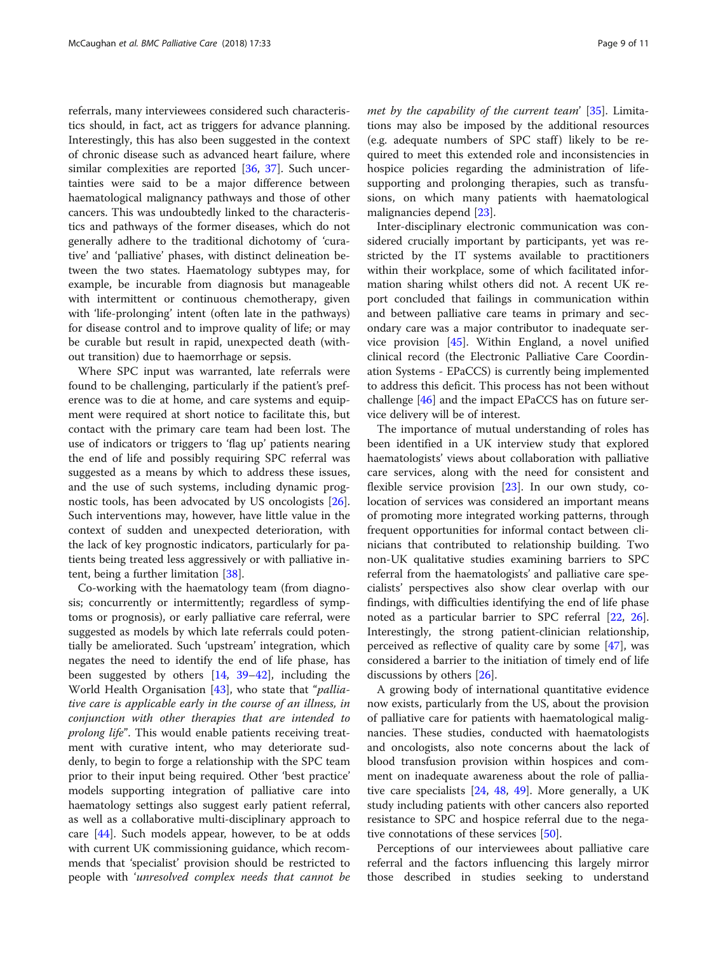referrals, many interviewees considered such characteristics should, in fact, act as triggers for advance planning. Interestingly, this has also been suggested in the context of chronic disease such as advanced heart failure, where similar complexities are reported [[36](#page-10-0), [37\]](#page-10-0). Such uncertainties were said to be a major difference between haematological malignancy pathways and those of other cancers. This was undoubtedly linked to the characteristics and pathways of the former diseases, which do not generally adhere to the traditional dichotomy of 'curative' and 'palliative' phases, with distinct delineation between the two states. Haematology subtypes may, for example, be incurable from diagnosis but manageable with intermittent or continuous chemotherapy, given with 'life-prolonging' intent (often late in the pathways) for disease control and to improve quality of life; or may be curable but result in rapid, unexpected death (without transition) due to haemorrhage or sepsis.

Where SPC input was warranted, late referrals were found to be challenging, particularly if the patient's preference was to die at home, and care systems and equipment were required at short notice to facilitate this, but contact with the primary care team had been lost. The use of indicators or triggers to 'flag up' patients nearing the end of life and possibly requiring SPC referral was suggested as a means by which to address these issues, and the use of such systems, including dynamic prognostic tools, has been advocated by US oncologists [\[26](#page-10-0)]. Such interventions may, however, have little value in the context of sudden and unexpected deterioration, with the lack of key prognostic indicators, particularly for patients being treated less aggressively or with palliative intent, being a further limitation [[38](#page-10-0)].

Co-working with the haematology team (from diagnosis; concurrently or intermittently; regardless of symptoms or prognosis), or early palliative care referral, were suggested as models by which late referrals could potentially be ameliorated. Such 'upstream' integration, which negates the need to identify the end of life phase, has been suggested by others [\[14](#page-10-0), [39](#page-10-0)–[42\]](#page-10-0), including the World Health Organisation [[43](#page-10-0)], who state that "palliative care is applicable early in the course of an illness, in conjunction with other therapies that are intended to prolong life". This would enable patients receiving treatment with curative intent, who may deteriorate suddenly, to begin to forge a relationship with the SPC team prior to their input being required. Other 'best practice' models supporting integration of palliative care into haematology settings also suggest early patient referral, as well as a collaborative multi-disciplinary approach to care [\[44\]](#page-10-0). Such models appear, however, to be at odds with current UK commissioning guidance, which recommends that 'specialist' provision should be restricted to people with 'unresolved complex needs that cannot be met by the capability of the current team' [\[35](#page-10-0)]. Limitations may also be imposed by the additional resources (e.g. adequate numbers of  $SPC$  staff) likely to be required to meet this extended role and inconsistencies in hospice policies regarding the administration of lifesupporting and prolonging therapies, such as transfusions, on which many patients with haematological malignancies depend [\[23](#page-10-0)].

Inter-disciplinary electronic communication was considered crucially important by participants, yet was restricted by the IT systems available to practitioners within their workplace, some of which facilitated information sharing whilst others did not. A recent UK report concluded that failings in communication within and between palliative care teams in primary and secondary care was a major contributor to inadequate service provision [[45\]](#page-10-0). Within England, a novel unified clinical record (the Electronic Palliative Care Coordination Systems - EPaCCS) is currently being implemented to address this deficit. This process has not been without challenge [[46\]](#page-10-0) and the impact EPaCCS has on future service delivery will be of interest.

The importance of mutual understanding of roles has been identified in a UK interview study that explored haematologists' views about collaboration with palliative care services, along with the need for consistent and flexible service provision [\[23](#page-10-0)]. In our own study, colocation of services was considered an important means of promoting more integrated working patterns, through frequent opportunities for informal contact between clinicians that contributed to relationship building. Two non-UK qualitative studies examining barriers to SPC referral from the haematologists' and palliative care specialists' perspectives also show clear overlap with our findings, with difficulties identifying the end of life phase noted as a particular barrier to SPC referral [\[22](#page-10-0), [26](#page-10-0)]. Interestingly, the strong patient-clinician relationship, perceived as reflective of quality care by some [[47](#page-10-0)], was considered a barrier to the initiation of timely end of life discussions by others [\[26](#page-10-0)].

A growing body of international quantitative evidence now exists, particularly from the US, about the provision of palliative care for patients with haematological malignancies. These studies, conducted with haematologists and oncologists, also note concerns about the lack of blood transfusion provision within hospices and comment on inadequate awareness about the role of palliative care specialists [[24](#page-10-0), [48,](#page-10-0) [49](#page-10-0)]. More generally, a UK study including patients with other cancers also reported resistance to SPC and hospice referral due to the negative connotations of these services [\[50](#page-10-0)].

Perceptions of our interviewees about palliative care referral and the factors influencing this largely mirror those described in studies seeking to understand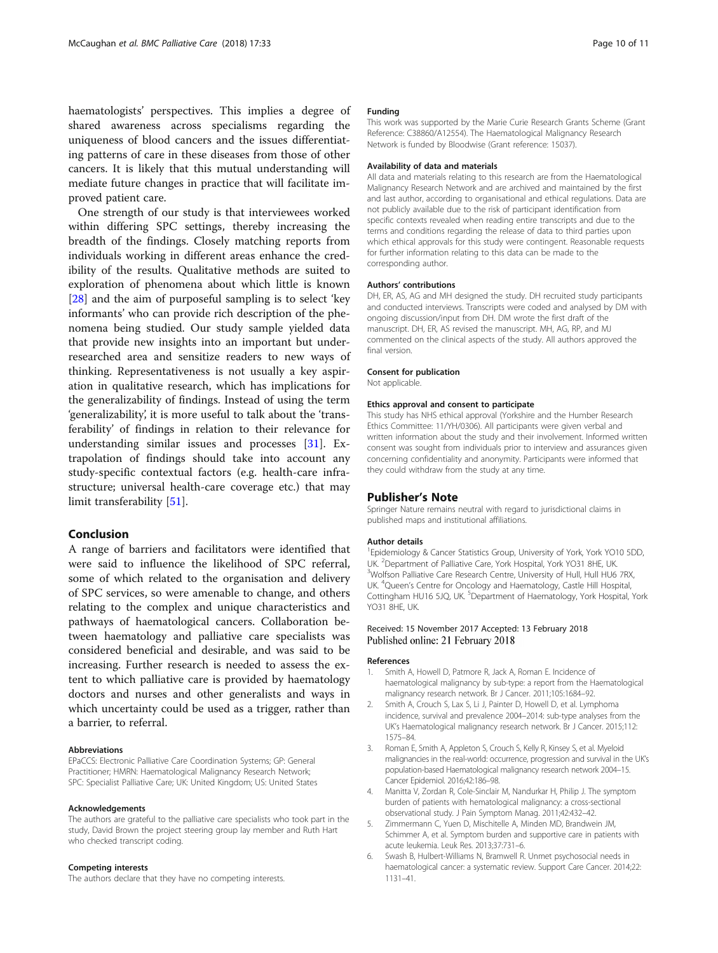<span id="page-9-0"></span>haematologists' perspectives. This implies a degree of shared awareness across specialisms regarding the uniqueness of blood cancers and the issues differentiating patterns of care in these diseases from those of other cancers. It is likely that this mutual understanding will mediate future changes in practice that will facilitate improved patient care.

One strength of our study is that interviewees worked within differing SPC settings, thereby increasing the breadth of the findings. Closely matching reports from individuals working in different areas enhance the credibility of the results. Qualitative methods are suited to exploration of phenomena about which little is known [[28\]](#page-10-0) and the aim of purposeful sampling is to select 'key informants' who can provide rich description of the phenomena being studied. Our study sample yielded data that provide new insights into an important but underresearched area and sensitize readers to new ways of thinking. Representativeness is not usually a key aspiration in qualitative research, which has implications for the generalizability of findings. Instead of using the term 'generalizability', it is more useful to talk about the 'transferability' of findings in relation to their relevance for understanding similar issues and processes [\[31\]](#page-10-0). Extrapolation of findings should take into account any study-specific contextual factors (e.g. health-care infrastructure; universal health-care coverage etc.) that may limit transferability [[51\]](#page-10-0).

# Conclusion

A range of barriers and facilitators were identified that were said to influence the likelihood of SPC referral, some of which related to the organisation and delivery of SPC services, so were amenable to change, and others relating to the complex and unique characteristics and pathways of haematological cancers. Collaboration between haematology and palliative care specialists was considered beneficial and desirable, and was said to be increasing. Further research is needed to assess the extent to which palliative care is provided by haematology doctors and nurses and other generalists and ways in which uncertainty could be used as a trigger, rather than a barrier, to referral.

#### Abbreviations

EPaCCS: Electronic Palliative Care Coordination Systems; GP: General Practitioner; HMRN: Haematological Malignancy Research Network; SPC: Specialist Palliative Care; UK: United Kingdom; US: United States

#### Acknowledgements

The authors are grateful to the palliative care specialists who took part in the study, David Brown the project steering group lay member and Ruth Hart who checked transcript coding.

#### Competing interests

The authors declare that they have no competing interests.

#### Funding

This work was supported by the Marie Curie Research Grants Scheme (Grant Reference: C38860/A12554). The Haematological Malignancy Research Network is funded by Bloodwise (Grant reference: 15037).

#### Availability of data and materials

All data and materials relating to this research are from the Haematological Malignancy Research Network and are archived and maintained by the first and last author, according to organisational and ethical regulations. Data are not publicly available due to the risk of participant identification from specific contexts revealed when reading entire transcripts and due to the terms and conditions regarding the release of data to third parties upon which ethical approvals for this study were contingent. Reasonable requests for further information relating to this data can be made to the corresponding author.

#### Authors' contributions

DH, ER, AS, AG and MH designed the study. DH recruited study participants and conducted interviews. Transcripts were coded and analysed by DM with ongoing discussion/input from DH. DM wrote the first draft of the manuscript. DH, ER, AS revised the manuscript. MH, AG, RP, and MJ commented on the clinical aspects of the study. All authors approved the final version.

#### Consent for publication

Not applicable.

#### Ethics approval and consent to participate

This study has NHS ethical approval (Yorkshire and the Humber Research Ethics Committee: 11/YH/0306). All participants were given verbal and written information about the study and their involvement. Informed written consent was sought from individuals prior to interview and assurances given concerning confidentiality and anonymity. Participants were informed that they could withdraw from the study at any time.

#### Publisher's Note

Springer Nature remains neutral with regard to jurisdictional claims in published maps and institutional affiliations.

#### Author details

<sup>1</sup> Epidemiology & Cancer Statistics Group, University of York, York YO10 5DD, UK. <sup>2</sup>Department of Palliative Care, York Hospital, York YO31 8HE, UK. <sup>3</sup>Wolfcon Palliative Care, Presente Control University of Hull Hull Hulls <sup>3</sup>Wolfson Palliative Care Research Centre, University of Hull, Hull HU6 7RX, UK. <sup>4</sup> Queen's Centre for Oncology and Haematology, Castle Hill Hospital, Cottingham HU16 5JQ, UK. <sup>5</sup>Department of Haematology, York Hospital, York YO31 8HE, UK.

#### Received: 15 November 2017 Accepted: 13 February 2018 Published online: 21 February 2018

## References

- 1. Smith A, Howell D, Patmore R, Jack A, Roman E. Incidence of haematological malignancy by sub-type: a report from the Haematological malignancy research network. Br J Cancer. 2011;105:1684–92.
- 2. Smith A, Crouch S, Lax S, Li J, Painter D, Howell D, et al. Lymphoma incidence, survival and prevalence 2004–2014: sub-type analyses from the UK's Haematological malignancy research network. Br J Cancer. 2015;112: 1575–84.
- 3. Roman E, Smith A, Appleton S, Crouch S, Kelly R, Kinsey S, et al. Myeloid malignancies in the real-world: occurrence, progression and survival in the UK's population-based Haematological malignancy research network 2004–15. Cancer Epidemiol. 2016;42:186–98.
- 4. Manitta V, Zordan R, Cole-Sinclair M, Nandurkar H, Philip J. The symptom burden of patients with hematological malignancy: a cross-sectional observational study. J Pain Symptom Manag. 2011;42:432–42.
- 5. Zimmermann C, Yuen D, Mischitelle A, Minden MD, Brandwein JM, Schimmer A, et al. Symptom burden and supportive care in patients with acute leukemia. Leuk Res. 2013;37:731–6.
- Swash B, Hulbert-Williams N, Bramwell R. Unmet psychosocial needs in haematological cancer: a systematic review. Support Care Cancer. 2014;22: 1131–41.